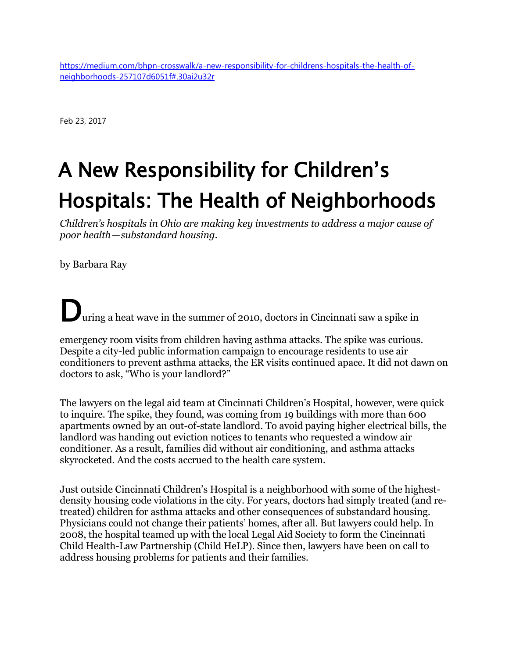[https://medium.com/bhpn-crosswalk/a-new-responsibility-for-childrens-hospitals-the-health-of](https://medium.com/bhpn-crosswalk/a-new-responsibility-for-childrens-hospitals-the-health-of-neighborhoods-257107d6051f#.30ai2u32r)[neighborhoods-257107d6051f#.30ai2u32r](https://medium.com/bhpn-crosswalk/a-new-responsibility-for-childrens-hospitals-the-health-of-neighborhoods-257107d6051f#.30ai2u32r)

Feb 23, 2017

## A New Responsibility for Children's Hospitals: The Health of Neighborhoods

*Children's hospitals in Ohio are making key investments to address a major cause of poor health—substandard housing.*

by Barbara Ray

During a heat wave in the summer of 2010, doctors in Cincinnati saw a spike in

emergency room visits from children having asthma attacks. The spike was curious. Despite a city-led public information campaign to encourage residents to use air conditioners to prevent asthma attacks, the ER visits continued apace. It did not dawn on doctors to ask, "Who is your landlord?"

The lawyers on the legal aid team at Cincinnati Children's Hospital, however, were quick to inquire. The spike, they found, was coming from 19 buildings with more than 600 apartments owned by an out-of-state landlord. To avoid paying higher electrical bills, the landlord was handing out eviction notices to tenants who requested a window air conditioner. As a result, families did without air conditioning, and asthma attacks skyrocketed. And the costs accrued to the health care system.

Just outside Cincinnati Children's Hospital is a neighborhood with some of the highestdensity housing code violations in the city. For years, doctors had simply treated (and retreated) children for asthma attacks and other consequences of substandard housing. Physicians could not change their patients' homes, after all. But lawyers could help. In 2008, the hospital teamed up with the local Legal Aid Society to form the Cincinnati Child Health-Law Partnership (Child HeLP). Since then, lawyers have been on call to address housing problems for patients and their families.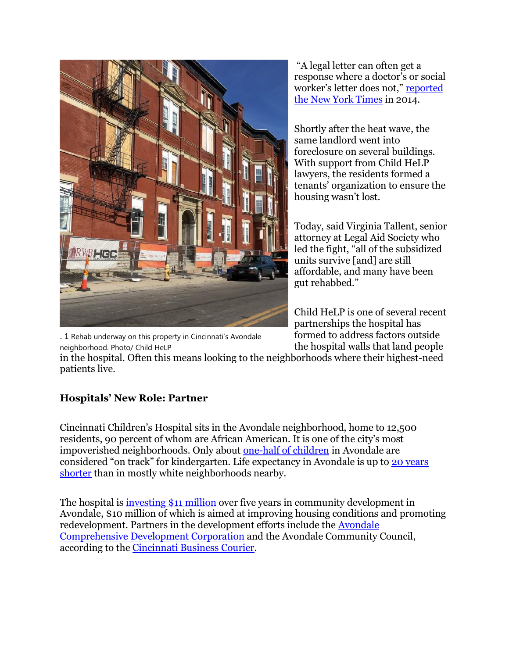

"A legal letter can often get a response where a doctor's or social worker's letter does not," [reported](http://opinionator.blogs.nytimes.com/2014/07/17/when-poverty-makes-you-sick-a-lawyer-can-be-the-cure/?_php=true&_type=blogs&_php=true&_type=blogs&module=Search&mabReward=relbias%3Aw%2C%7B%222%22%3A%22RI%3A14%22%7D&_r=2)  [the New York Times](http://opinionator.blogs.nytimes.com/2014/07/17/when-poverty-makes-you-sick-a-lawyer-can-be-the-cure/?_php=true&_type=blogs&_php=true&_type=blogs&module=Search&mabReward=relbias%3Aw%2C%7B%222%22%3A%22RI%3A14%22%7D&_r=2) in 2014.

Shortly after the heat wave, the same landlord went into foreclosure on several buildings. With support from Child HeLP lawyers, the residents formed a tenants' organization to ensure the housing wasn't lost.

Today, said Virginia Tallent, senior attorney at Legal Aid Society who led the fight, "all of the subsidized units survive [and] are still affordable, and many have been gut rehabbed."

Child HeLP is one of several recent partnerships the hospital has formed to address factors outside the hospital walls that land people

. 1 Rehab underway on this property in Cincinnati's Avondale neighborhood. Photo/ Child HeLP

in the hospital. Often this means looking to the neighborhoods where their highest-need patients live.

## **Hospitals' New Role: Partner**

Cincinnati Children's Hospital sits in the Avondale neighborhood, home to 12,500 residents, 90 percent of whom are African American. It is one of the city's most impoverished neighborhoods. Only about [one-half of children](http://www.cincinnati.com/story/news/2016/08/31/cincinnati-childrens-begins-spending-avondale-groups/89602744/) in Avondale are considered "on track" for kindergarten. Life expectancy in Avondale is up to [20 years](http://www.cincinnati.com/story/news/2016/08/31/cincinnati-childrens-begins-spending-avondale-groups/89602744/)  [shorter](http://www.cincinnati.com/story/news/2016/08/31/cincinnati-childrens-begins-spending-avondale-groups/89602744/) than in mostly white neighborhoods nearby.

The hospital is *investing* \$11 million over five years in community development in Avondale, \$10 million of which is aimed at improving housing conditions and promoting redevelopment. Partners in the development efforts include the [Avondale](http://www.a-cdc.org/)  [Comprehensive Development Corporation](http://www.a-cdc.org/) and the Avondale Community Council, according to the [Cincinnati Business Courier.](http://www.bizjournals.com/cincinnati/news/2016/05/12/children-s-to-invest-millions-in-avondale.html)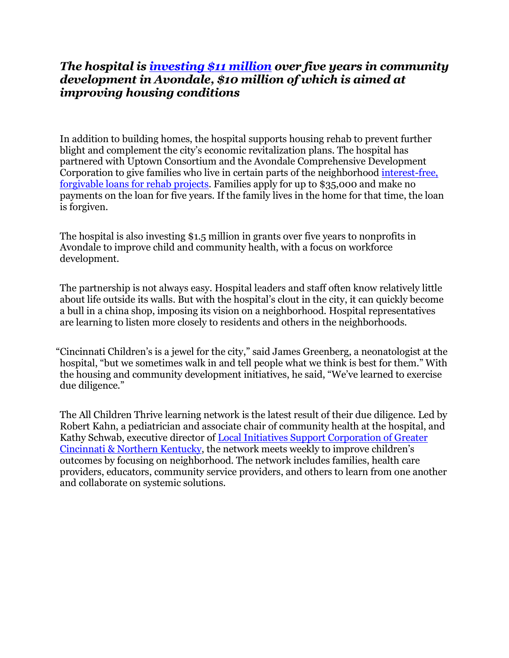## *The hospital is [investing \\$11 million](http://www.bizjournals.com/cincinnati/news/2016/05/12/children-s-to-invest-millions-in-avondale.html) over five years in community development in Avondale, \$10 million of which is aimed at improving housing conditions*

In addition to building homes, the hospital supports housing rehab to prevent further blight and complement the city's economic revitalization plans. The hospital has partnered with Uptown Consortium and the Avondale Comprehensive Development Corporation to give families who live in certain parts of the neighborhood [interest-free,](https://www.cincinnatichildrens.org/about/community/community-benefit/avondale-home-improvement-program)  [forgivable loans for rehab projects.](https://www.cincinnatichildrens.org/about/community/community-benefit/avondale-home-improvement-program) Families apply for up to \$35,000 and make no payments on the loan for five years. If the family lives in the home for that time, the loan is forgiven.

The hospital is also investing \$1.5 million in grants over five years to nonprofits in Avondale to improve child and community health, with a focus on workforce development.

The partnership is not always easy. Hospital leaders and staff often know relatively little about life outside its walls. But with the hospital's clout in the city, it can quickly become a bull in a china shop, imposing its vision on a neighborhood. Hospital representatives are learning to listen more closely to residents and others in the neighborhoods.

"Cincinnati Children's is a jewel for the city," said James Greenberg, a neonatologist at the hospital, "but we sometimes walk in and tell people what we think is best for them." With the housing and community development initiatives, he said, "We've learned to exercise due diligence."

The All Children Thrive learning network is the latest result of their due diligence. Led by Robert Kahn, a pediatrician and associate chair of community health at the hospital, and Kathy Schwab, executive director of [Local Initiatives Support Corporation of Greater](http://programs.lisc.org/greater_cincinnati/)  [Cincinnati & Northern Kentucky](http://programs.lisc.org/greater_cincinnati/), the network meets weekly to improve children's outcomes by focusing on neighborhood. The network includes families, health care providers, educators, community service providers, and others to learn from one another and collaborate on systemic solutions.